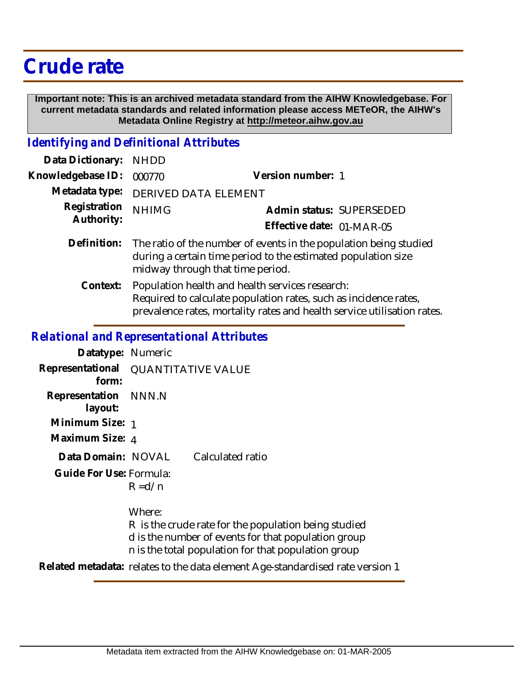## **Crude rate**

 **Important note: This is an archived metadata standard from the AIHW Knowledgebase. For current metadata standards and related information please access METeOR, the AIHW's Metadata Online Registry at http://meteor.aihw.gov.au**

## *Identifying and Definitional Attributes*

| Data Dictionary:           | <b>NHDD</b>                                                                                                                                                                                    |                           |  |
|----------------------------|------------------------------------------------------------------------------------------------------------------------------------------------------------------------------------------------|---------------------------|--|
| Knowledgebase ID:          | 000770                                                                                                                                                                                         | Version number: 1         |  |
| Metadata type:             | DERIVED DATA ELEMENT                                                                                                                                                                           |                           |  |
| Registration<br>Authority: | <b>NHIMG</b>                                                                                                                                                                                   | Admin status: SUPERSEDED  |  |
|                            |                                                                                                                                                                                                | Effective date: 01-MAR-05 |  |
| Definition:                | The ratio of the number of events in the population being studied<br>during a certain time period to the estimated population size<br>midway through that time period.                         |                           |  |
| Context:                   | Population health and health services research:<br>Required to calculate population rates, such as incidence rates,<br>prevalence rates, mortality rates and health service utilisation rates. |                           |  |
|                            |                                                                                                                                                                                                |                           |  |

## *Relational and Representational Attributes*

| Datatype: Numeric               |                           |                  |
|---------------------------------|---------------------------|------------------|
| Representational<br>form:       | <b>QUANTITATIVE VALUE</b> |                  |
| Representation NNN.N<br>layout: |                           |                  |
| Minimum Size: 1                 |                           |                  |
| Maximum Size: 4                 |                           |                  |
| Data Domain: NOVAL              |                           | Calculated ratio |
| Guide For Use: Formula:         |                           |                  |

 $R = d/n$ 

Where:

R is the crude rate for the population being studied d is the number of events for that population group n is the total population for that population group

**Related metadata:** relates to the data element Age-standardised rate version 1